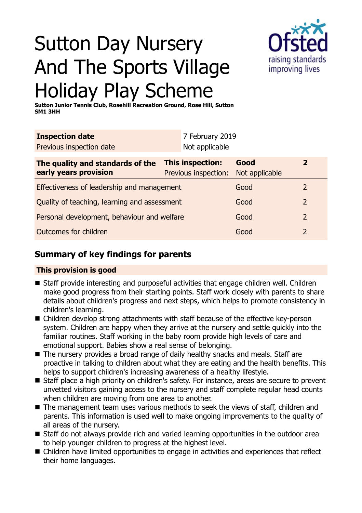

# Sutton Day Nursery And The Sports Village Holiday Play Scheme

**Sutton Junior Tennis Club, Rosehill Recreation Ground, Rose Hill, Sutton SM1 3HH**

| <b>Inspection date</b>                                    |                                          | 7 February 2019        |                |
|-----------------------------------------------------------|------------------------------------------|------------------------|----------------|
| Previous inspection date                                  | Not applicable                           |                        |                |
| The quality and standards of the<br>early years provision | This inspection:<br>Previous inspection: | Good<br>Not applicable | $\mathbf{z}$   |
| Effectiveness of leadership and management                |                                          | Good                   | $\overline{2}$ |
| Quality of teaching, learning and assessment              |                                          | Good                   | $\overline{2}$ |
| Personal development, behaviour and welfare               |                                          | Good                   | $\overline{2}$ |
| Outcomes for children                                     |                                          | Good                   | 2              |

# **Summary of key findings for parents**

# **This provision is good**

- Staff provide interesting and purposeful activities that engage children well. Children make good progress from their starting points. Staff work closely with parents to share details about children's progress and next steps, which helps to promote consistency in children's learning.
- Children develop strong attachments with staff because of the effective key-person system. Children are happy when they arrive at the nursery and settle quickly into the familiar routines. Staff working in the baby room provide high levels of care and emotional support. Babies show a real sense of belonging.
- The nursery provides a broad range of daily healthy snacks and meals. Staff are proactive in talking to children about what they are eating and the health benefits. This helps to support children's increasing awareness of a healthy lifestyle.
- Staff place a high priority on children's safety. For instance, areas are secure to prevent unvetted visitors gaining access to the nursery and staff complete regular head counts when children are moving from one area to another.
- The management team uses various methods to seek the views of staff, children and parents. This information is used well to make ongoing improvements to the quality of all areas of the nursery.
- Staff do not always provide rich and varied learning opportunities in the outdoor area to help younger children to progress at the highest level.
- Children have limited opportunities to engage in activities and experiences that reflect their home languages.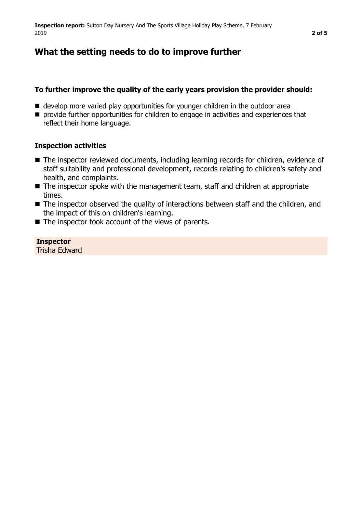# **What the setting needs to do to improve further**

#### **To further improve the quality of the early years provision the provider should:**

- develop more varied play opportunities for younger children in the outdoor area
- **n** provide further opportunities for children to engage in activities and experiences that reflect their home language.

#### **Inspection activities**

- The inspector reviewed documents, including learning records for children, evidence of staff suitability and professional development, records relating to children's safety and health, and complaints.
- $\blacksquare$  The inspector spoke with the management team, staff and children at appropriate times.
- $\blacksquare$  The inspector observed the quality of interactions between staff and the children, and the impact of this on children's learning.
- $\blacksquare$  The inspector took account of the views of parents.

## **Inspector**

Trisha Edward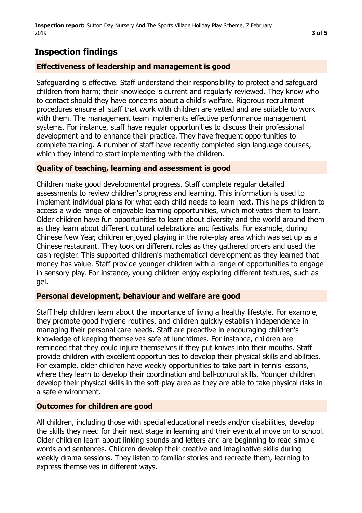# **Inspection findings**

## **Effectiveness of leadership and management is good**

Safeguarding is effective. Staff understand their responsibility to protect and safeguard children from harm; their knowledge is current and regularly reviewed. They know who to contact should they have concerns about a child's welfare. Rigorous recruitment procedures ensure all staff that work with children are vetted and are suitable to work with them. The management team implements effective performance management systems. For instance, staff have regular opportunities to discuss their professional development and to enhance their practice. They have frequent opportunities to complete training. A number of staff have recently completed sign language courses, which they intend to start implementing with the children.

## **Quality of teaching, learning and assessment is good**

Children make good developmental progress. Staff complete regular detailed assessments to review children's progress and learning. This information is used to implement individual plans for what each child needs to learn next. This helps children to access a wide range of enjoyable learning opportunities, which motivates them to learn. Older children have fun opportunities to learn about diversity and the world around them as they learn about different cultural celebrations and festivals. For example, during Chinese New Year, children enjoyed playing in the role-play area which was set up as a Chinese restaurant. They took on different roles as they gathered orders and used the cash register. This supported children's mathematical development as they learned that money has value. Staff provide younger children with a range of opportunities to engage in sensory play. For instance, young children enjoy exploring different textures, such as gel.

## **Personal development, behaviour and welfare are good**

Staff help children learn about the importance of living a healthy lifestyle. For example, they promote good hygiene routines, and children quickly establish independence in managing their personal care needs. Staff are proactive in encouraging children's knowledge of keeping themselves safe at lunchtimes. For instance, children are reminded that they could injure themselves if they put knives into their mouths. Staff provide children with excellent opportunities to develop their physical skills and abilities. For example, older children have weekly opportunities to take part in tennis lessons, where they learn to develop their coordination and ball-control skills. Younger children develop their physical skills in the soft-play area as they are able to take physical risks in a safe environment.

## **Outcomes for children are good**

All children, including those with special educational needs and/or disabilities, develop the skills they need for their next stage in learning and their eventual move on to school. Older children learn about linking sounds and letters and are beginning to read simple words and sentences. Children develop their creative and imaginative skills during weekly drama sessions. They listen to familiar stories and recreate them, learning to express themselves in different ways.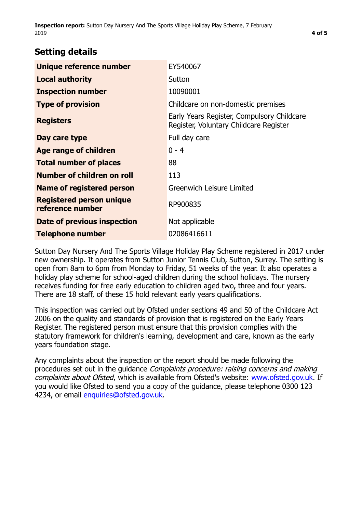**Inspection report:** Sutton Day Nursery And The Sports Village Holiday Play Scheme, 7 February 2019 **4 of [5](#page-4-0)**

# **Setting details**

| Unique reference number                             | EY540067                                                                             |  |
|-----------------------------------------------------|--------------------------------------------------------------------------------------|--|
| <b>Local authority</b>                              | Sutton                                                                               |  |
| <b>Inspection number</b>                            | 10090001                                                                             |  |
| <b>Type of provision</b>                            | Childcare on non-domestic premises                                                   |  |
| <b>Registers</b>                                    | Early Years Register, Compulsory Childcare<br>Register, Voluntary Childcare Register |  |
| Day care type                                       | Full day care                                                                        |  |
| Age range of children                               | $0 - 4$                                                                              |  |
| <b>Total number of places</b>                       | 88                                                                                   |  |
| Number of children on roll                          | 113                                                                                  |  |
| Name of registered person                           | Greenwich Leisure Limited                                                            |  |
| <b>Registered person unique</b><br>reference number | RP900835                                                                             |  |
| <b>Date of previous inspection</b>                  | Not applicable                                                                       |  |
| <b>Telephone number</b>                             | 02086416611                                                                          |  |

Sutton Day Nursery And The Sports Village Holiday Play Scheme registered in 2017 under new ownership. It operates from Sutton Junior Tennis Club, Sutton, Surrey. The setting is open from 8am to 6pm from Monday to Friday, 51 weeks of the year. It also operates a holiday play scheme for school-aged children during the school holidays. The nursery receives funding for free early education to children aged two, three and four years. There are 18 staff, of these 15 hold relevant early years qualifications.

This inspection was carried out by Ofsted under sections 49 and 50 of the Childcare Act 2006 on the quality and standards of provision that is registered on the Early Years Register. The registered person must ensure that this provision complies with the statutory framework for children's learning, development and care, known as the early years foundation stage.

Any complaints about the inspection or the report should be made following the procedures set out in the guidance Complaints procedure: raising concerns and making complaints about Ofsted, which is available from Ofsted's website: www.ofsted.gov.uk. If you would like Ofsted to send you a copy of the guidance, please telephone 0300 123 4234, or email [enquiries@ofsted.gov.uk.](mailto:enquiries@ofsted.gov.uk)